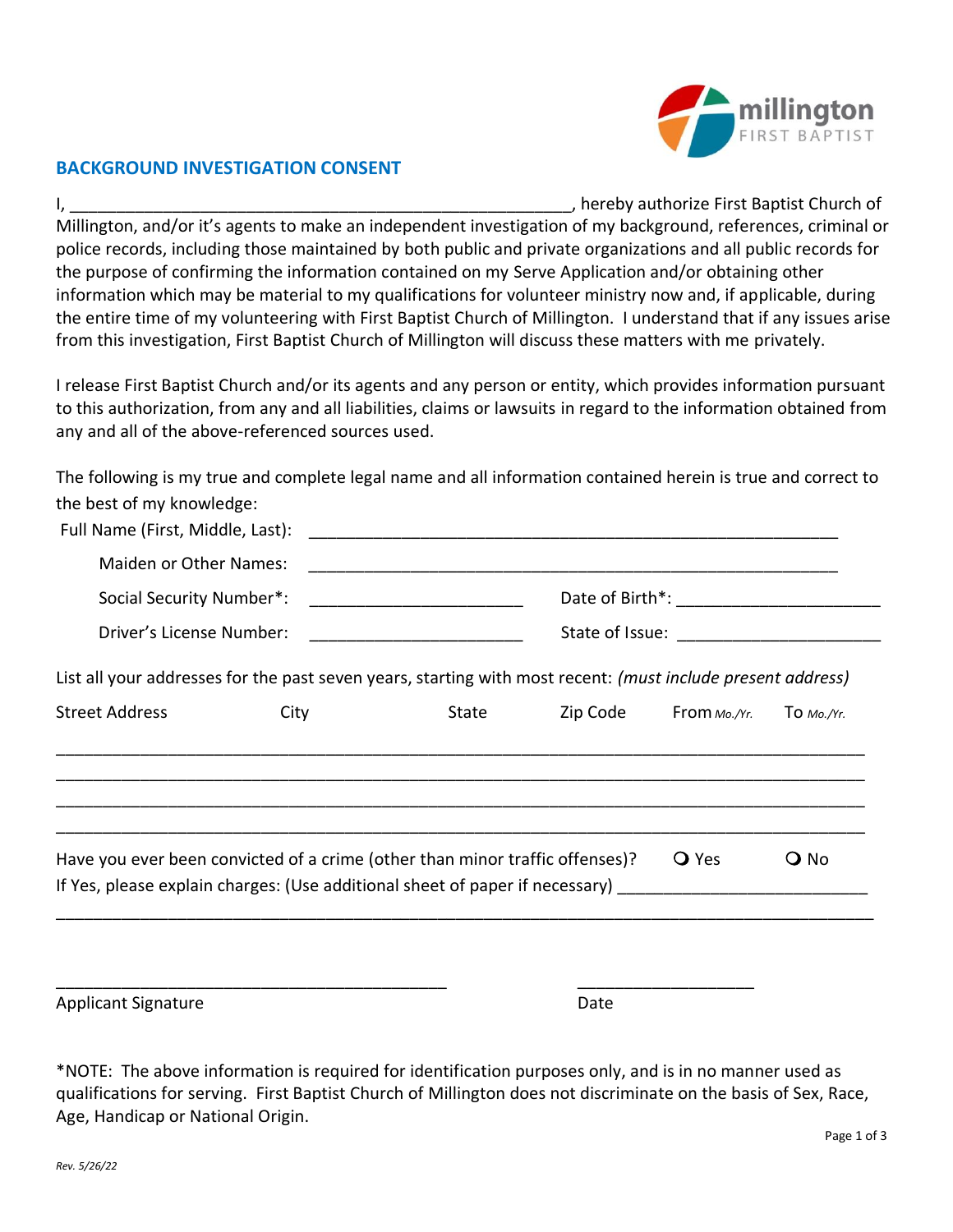

## **BACKGROUND INVESTIGATION CONSENT**

I, \_\_\_\_\_\_\_\_\_\_\_\_\_\_\_\_\_\_\_\_\_\_\_\_\_\_\_\_\_\_\_\_\_\_\_\_\_\_\_\_\_\_\_\_\_\_\_\_\_\_\_\_\_\_, hereby authorize First Baptist Church of Millington, and/or it's agents to make an independent investigation of my background, references, criminal or police records, including those maintained by both public and private organizations and all public records for the purpose of confirming the information contained on my Serve Application and/or obtaining other information which may be material to my qualifications for volunteer ministry now and, if applicable, during the entire time of my volunteering with First Baptist Church of Millington. I understand that if any issues arise from this investigation, First Baptist Church of Millington will discuss these matters with me privately.

I release First Baptist Church and/or its agents and any person or entity, which provides information pursuant to this authorization, from any and all liabilities, claims or lawsuits in regard to the information obtained from any and all of the above-referenced sources used.

The following is my true and complete legal name and all information contained herein is true and correct to the best of my knowledge:

| Full Name (First, Middle, Last):                                                                               |      |       |          |              |                 |  |
|----------------------------------------------------------------------------------------------------------------|------|-------|----------|--------------|-----------------|--|
| <b>Maiden or Other Names:</b>                                                                                  |      |       |          |              |                 |  |
| Social Security Number*:                                                                                       |      |       |          |              |                 |  |
| Driver's License Number:                                                                                       |      |       |          |              |                 |  |
| List all your addresses for the past seven years, starting with most recent: (must include present address)    |      |       |          |              |                 |  |
| <b>Street Address</b>                                                                                          | City | State | Zip Code | From Mo./Yr. | TO $Mo./Yr$ .   |  |
|                                                                                                                |      |       |          |              |                 |  |
| Have you ever been convicted of a crime (other than minor traffic offenses)?                                   |      |       |          | <b>O</b> Yes | $\mathsf{O}$ No |  |
| If Yes, please explain charges: (Use additional sheet of paper if necessary) [19] [19] [19] [19] [19] [19] [19 |      |       |          |              |                 |  |
|                                                                                                                |      |       |          |              |                 |  |
|                                                                                                                |      |       |          |              |                 |  |
| <b>Applicant Signature</b>                                                                                     |      |       | Date     |              |                 |  |

\*NOTE: The above information is required for identification purposes only, and is in no manner used as qualifications for serving. First Baptist Church of Millington does not discriminate on the basis of Sex, Race, Age, Handicap or National Origin.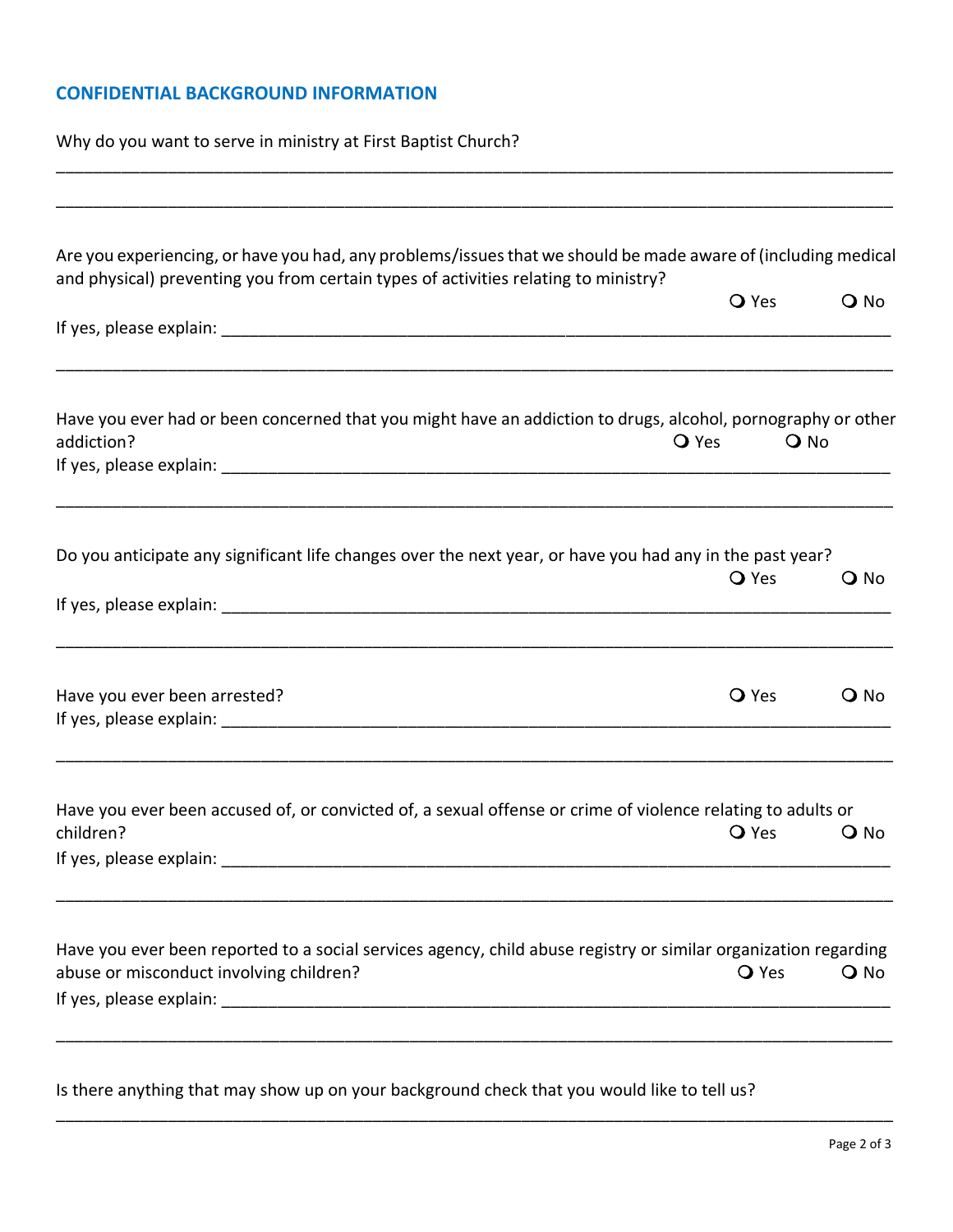## **CONFIDENTIAL BACKGROUND INFORMATION**

Why do you want to serve in ministry at First Baptist Church?

| Are you experiencing, or have you had, any problems/issues that we should be made aware of (including medical<br>and physical) preventing you from certain types of activities relating to ministry? |              |        |
|------------------------------------------------------------------------------------------------------------------------------------------------------------------------------------------------------|--------------|--------|
|                                                                                                                                                                                                      | <b>O</b> Yes | $Q$ No |
|                                                                                                                                                                                                      |              |        |
| Have you ever had or been concerned that you might have an addiction to drugs, alcohol, pornography or other<br>addiction?                                                                           | <b>O</b> Yes | $Q$ No |
| Do you anticipate any significant life changes over the next year, or have you had any in the past year?                                                                                             | <b>O</b> Yes | $Q$ No |
|                                                                                                                                                                                                      |              |        |
| Have you ever been arrested?                                                                                                                                                                         | <b>O</b> Yes | $Q$ No |
| Have you ever been accused of, or convicted of, a sexual offense or crime of violence relating to adults or<br>children?                                                                             | <b>O</b> Yes | $Q$ No |
| Have you ever been reported to a social services agency, child abuse registry or similar organization regarding<br>abuse or misconduct involving children?                                           | <b>O</b> Yes | $Q$ No |

\_\_\_\_\_\_\_\_\_\_\_\_\_\_\_\_\_\_\_\_\_\_\_\_\_\_\_\_\_\_\_\_\_\_\_\_\_\_\_\_\_\_\_\_\_\_\_\_\_\_\_\_\_\_\_\_\_\_\_\_\_\_\_\_\_\_\_\_\_\_\_\_\_\_\_\_\_\_\_\_\_\_\_\_\_\_\_\_\_\_